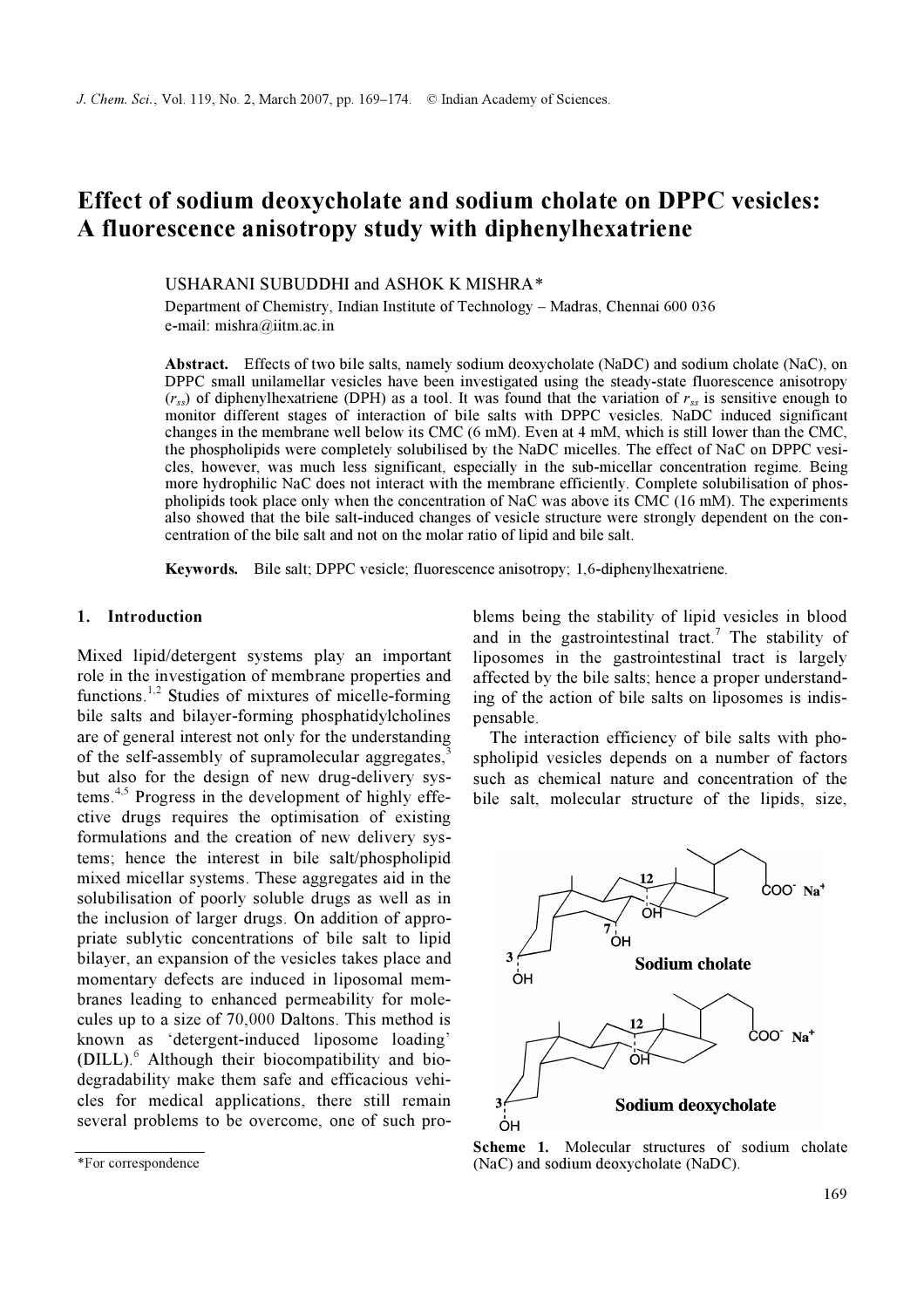# Effect of sodium deoxycholate and sodium cholate on DPPC vesicles: A fluorescence anisotropy study with diphenylhexatriene

# USHARANI SUBUDDHI and ASHOK K MISHRA\*

Department of Chemistry, Indian Institute of Technology – Madras, Chennai 600 036 e-mail: mishra@iitm.ac.in

Abstract. Effects of two bile salts, namely sodium deoxycholate (NaDC) and sodium cholate (NaC), on DPPC small unilamellar vesicles have been investigated using the steady-state fluorescence anisotropy  $(r_{ss})$  of diphenylhexatriene (DPH) as a tool. It was found that the variation of  $r_{ss}$  is sensitive enough to monitor different stages of interaction of bile salts with DPPC vesicles. NaDC induced significant changes in the membrane well below its CMC (6 mM). Even at 4 mM, which is still lower than the CMC, the phospholipids were completely solubilised by the NaDC micelles. The effect of NaC on DPPC vesicles, however, was much less significant, especially in the sub-micellar concentration regime. Being more hydrophilic NaC does not interact with the membrane efficiently. Complete solubilisation of phospholipids took place only when the concentration of NaC was above its CMC (16 mM). The experiments also showed that the bile salt-induced changes of vesicle structure were strongly dependent on the concentration of the bile salt and not on the molar ratio of lipid and bile salt.

Keywords. Bile salt; DPPC vesicle; fluorescence anisotropy; 1,6-diphenylhexatriene.

## 1. Introduction

Mixed lipid/detergent systems play an important role in the investigation of membrane properties and functions.<sup>1,2</sup> Studies of mixtures of micelle-forming bile salts and bilayer-forming phosphatidylcholines are of general interest not only for the understanding of the self-assembly of supramolecular aggregates, $\frac{3}{2}$ but also for the design of new drug-delivery systems.4,5 Progress in the development of highly effective drugs requires the optimisation of existing formulations and the creation of new delivery systems; hence the interest in bile salt/phospholipid mixed micellar systems. These aggregates aid in the solubilisation of poorly soluble drugs as well as in the inclusion of larger drugs. On addition of appropriate sublytic concentrations of bile salt to lipid bilayer, an expansion of the vesicles takes place and momentary defects are induced in liposomal membranes leading to enhanced permeability for molecules up to a size of 70,000 Daltons. This method is known as 'detergent-induced liposome loading' (DILL).<sup>6</sup> Although their biocompatibility and biodegradability make them safe and efficacious vehicles for medical applications, there still remain several problems to be overcome, one of such problems being the stability of lipid vesicles in blood and in the gastrointestinal tract.<sup>7</sup> The stability of liposomes in the gastrointestinal tract is largely affected by the bile salts; hence a proper understanding of the action of bile salts on liposomes is indispensable.

 The interaction efficiency of bile salts with phospholipid vesicles depends on a number of factors such as chemical nature and concentration of the bile salt, molecular structure of the lipids, size,



Scheme 1. Molecular structures of sodium cholate (NaC) and sodium deoxycholate (NaDC).

<sup>\*</sup>For correspondence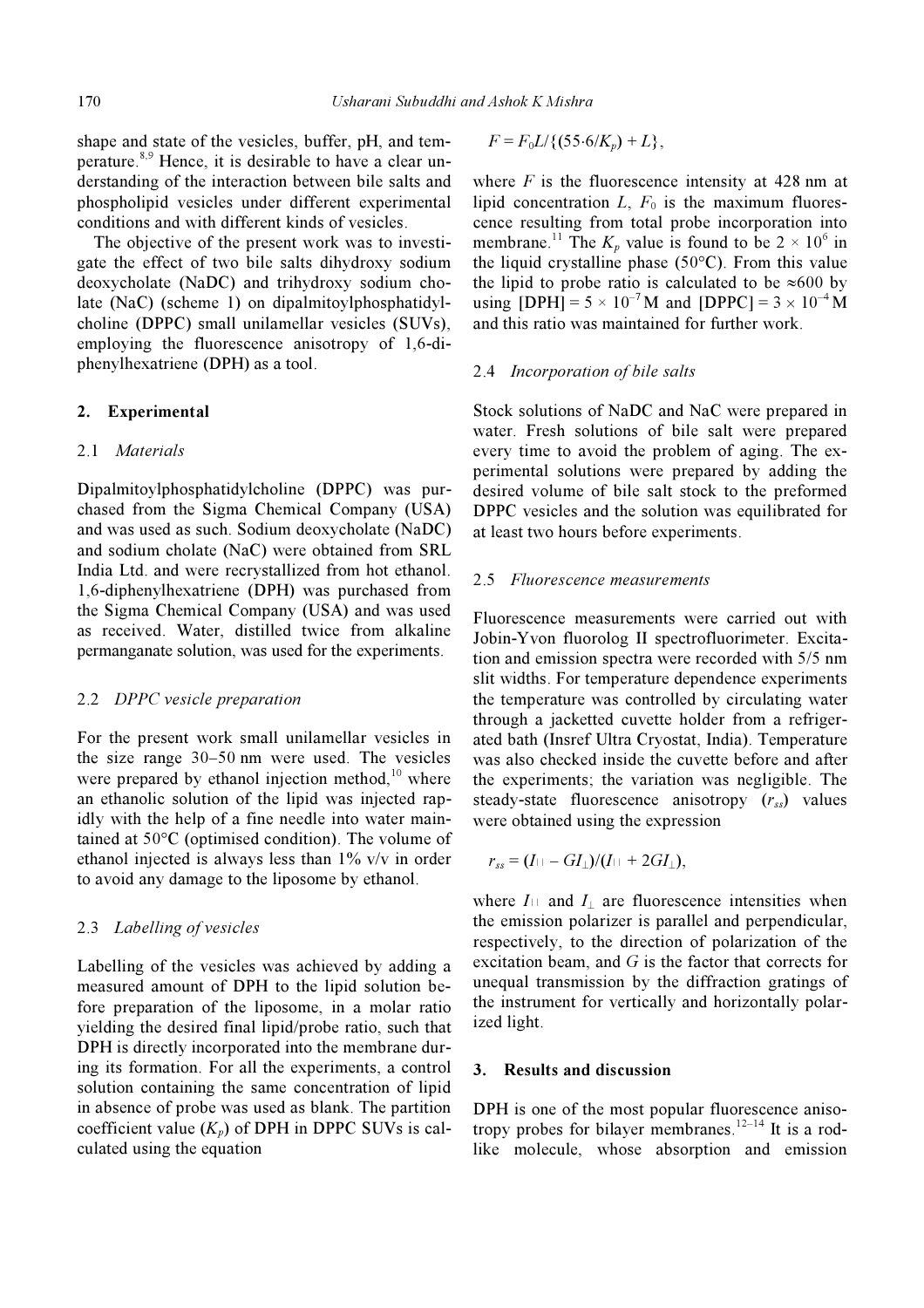shape and state of the vesicles, buffer, pH, and temperature.<sup>8,9</sup> Hence, it is desirable to have a clear understanding of the interaction between bile salts and phospholipid vesicles under different experimental conditions and with different kinds of vesicles.

 The objective of the present work was to investigate the effect of two bile salts dihydroxy sodium deoxycholate (NaDC) and trihydroxy sodium cholate (NaC) (scheme 1) on dipalmitoylphosphatidylcholine (DPPC) small unilamellar vesicles (SUVs), employing the fluorescence anisotropy of 1,6-diphenylhexatriene (DPH) as a tool.

# 2. Experimental

## 2.1 Materials

Dipalmitoylphosphatidylcholine (DPPC) was purchased from the Sigma Chemical Company (USA) and was used as such. Sodium deoxycholate (NaDC) and sodium cholate (NaC) were obtained from SRL India Ltd. and were recrystallized from hot ethanol. 1,6-diphenylhexatriene (DPH) was purchased from the Sigma Chemical Company (USA) and was used as received. Water, distilled twice from alkaline permanganate solution, was used for the experiments.

#### 2.2 DPPC vesicle preparation

For the present work small unilamellar vesicles in the size range 30–50 nm were used. The vesicles were prepared by ethanol injection method, $10$  where an ethanolic solution of the lipid was injected rapidly with the help of a fine needle into water maintained at 50°C (optimised condition). The volume of ethanol injected is always less than 1% v/v in order to avoid any damage to the liposome by ethanol.

## 2.3 Labelling of vesicles

Labelling of the vesicles was achieved by adding a measured amount of DPH to the lipid solution before preparation of the liposome, in a molar ratio yielding the desired final lipid/probe ratio, such that DPH is directly incorporated into the membrane during its formation. For all the experiments, a control solution containing the same concentration of lipid in absence of probe was used as blank. The partition coefficient value  $(K_p)$  of DPH in DPPC SUVs is calculated using the equation

$$
F = F_0 L / \{ (55.6 / K_p) + L \},
$$

where  $F$  is the fluorescence intensity at 428 nm at lipid concentration  $L$ ,  $F_0$  is the maximum fluorescence resulting from total probe incorporation into membrane.<sup>11</sup> The  $K_p$  value is found to be  $2 \times 10^6$  in the liquid crystalline phase  $(50^{\circ}C)$ . From this value the lipid to probe ratio is calculated to be  $\approx 600$  by using [DPH] =  $5 \times 10^{-7}$  M and [DPPC] =  $3 \times 10^{-4}$  M and this ratio was maintained for further work.

## 2.4 Incorporation of bile salts

Stock solutions of NaDC and NaC were prepared in water. Fresh solutions of bile salt were prepared every time to avoid the problem of aging. The experimental solutions were prepared by adding the desired volume of bile salt stock to the preformed DPPC vesicles and the solution was equilibrated for at least two hours before experiments.

#### 2.5 Fluorescence measurements

Fluorescence measurements were carried out with Jobin-Yvon fluorolog II spectrofluorimeter. Excitation and emission spectra were recorded with 5/5 nm slit widths. For temperature dependence experiments the temperature was controlled by circulating water through a jacketted cuvette holder from a refrigerated bath (Insref Ultra Cryostat, India). Temperature was also checked inside the cuvette before and after the experiments; the variation was negligible. The steady-state fluorescence anisotropy  $(r_{ss})$  values were obtained using the expression

$$
r_{ss}=(I_{\perp}-GI_{\perp})/(I_{\perp}+2GI_{\perp}),
$$

where  $I_{\perp}$  and  $I_{\perp}$  are fluorescence intensities when the emission polarizer is parallel and perpendicular, respectively, to the direction of polarization of the excitation beam, and G is the factor that corrects for unequal transmission by the diffraction gratings of the instrument for vertically and horizontally polarized light.

## 3. Results and discussion

DPH is one of the most popular fluorescence anisotropy probes for bilayer membranes.<sup>12–14</sup> It is a rodlike molecule, whose absorption and emission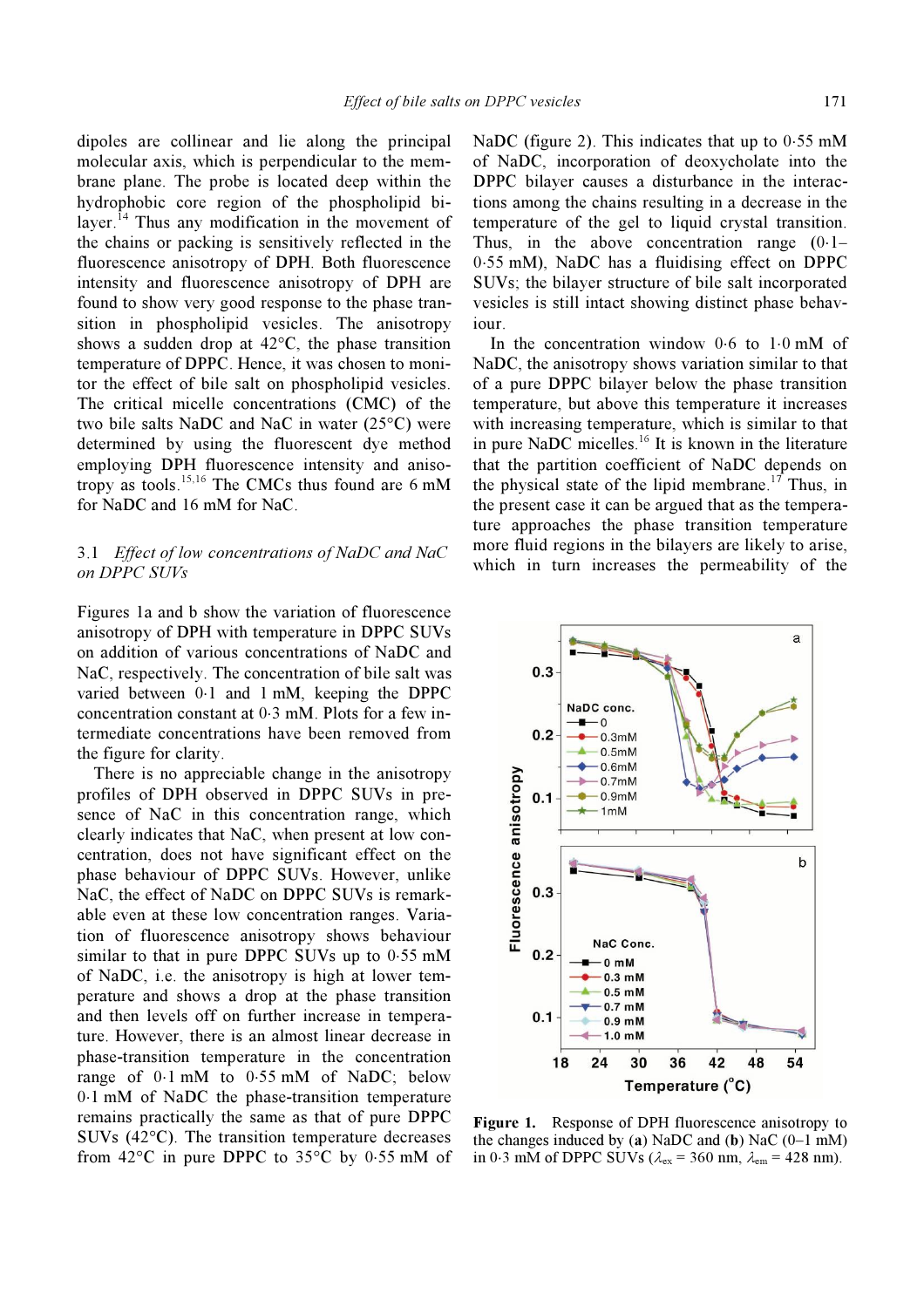dipoles are collinear and lie along the principal molecular axis, which is perpendicular to the membrane plane. The probe is located deep within the hydrophobic core region of the phospholipid bilayer.<sup>14</sup> Thus any modification in the movement of the chains or packing is sensitively reflected in the fluorescence anisotropy of DPH. Both fluorescence intensity and fluorescence anisotropy of DPH are found to show very good response to the phase transition in phospholipid vesicles. The anisotropy shows a sudden drop at 42°C, the phase transition temperature of DPPC. Hence, it was chosen to monitor the effect of bile salt on phospholipid vesicles. The critical micelle concentrations (CMC) of the two bile salts NaDC and NaC in water (25°C) were determined by using the fluorescent dye method employing DPH fluorescence intensity and anisotropy as tools.15,16 The CMCs thus found are 6 mM for NaDC and 16 mM for NaC.

# 3.1 Effect of low concentrations of NaDC and NaC on DPPC SUVs

Figures 1a and b show the variation of fluorescence anisotropy of DPH with temperature in DPPC SUVs on addition of various concentrations of NaDC and NaC, respectively. The concentration of bile salt was varied between 0⋅1 and 1 mM, keeping the DPPC concentration constant at 0⋅3 mM. Plots for a few intermediate concentrations have been removed from the figure for clarity.

 There is no appreciable change in the anisotropy profiles of DPH observed in DPPC SUVs in presence of NaC in this concentration range, which clearly indicates that NaC, when present at low concentration, does not have significant effect on the phase behaviour of DPPC SUVs. However, unlike NaC, the effect of NaDC on DPPC SUVs is remarkable even at these low concentration ranges. Variation of fluorescence anisotropy shows behaviour similar to that in pure DPPC SUVs up to 0⋅55 mM of NaDC, i.e. the anisotropy is high at lower temperature and shows a drop at the phase transition and then levels off on further increase in temperature. However, there is an almost linear decrease in phase-transition temperature in the concentration range of 0⋅1 mM to 0⋅55 mM of NaDC; below 0⋅1 mM of NaDC the phase-transition temperature remains practically the same as that of pure DPPC SUVs (42°C). The transition temperature decreases from 42°C in pure DPPC to 35°C by 0⋅55 mM of NaDC (figure 2). This indicates that up to 0⋅55 mM of NaDC, incorporation of deoxycholate into the DPPC bilayer causes a disturbance in the interactions among the chains resulting in a decrease in the temperature of the gel to liquid crystal transition. Thus, in the above concentration range (0⋅1– 0⋅55 mM), NaDC has a fluidising effect on DPPC SUVs; the bilayer structure of bile salt incorporated vesicles is still intact showing distinct phase behaviour.

 In the concentration window 0⋅6 to 1⋅0 mM of NaDC, the anisotropy shows variation similar to that of a pure DPPC bilayer below the phase transition temperature, but above this temperature it increases with increasing temperature, which is similar to that in pure NaDC micelles. $16$  It is known in the literature that the partition coefficient of NaDC depends on the physical state of the lipid membrane.<sup>17</sup> Thus, in the present case it can be argued that as the temperature approaches the phase transition temperature more fluid regions in the bilayers are likely to arise, which in turn increases the permeability of the



Figure 1. Response of DPH fluorescence anisotropy to the changes induced by (a) NaDC and (b) NaC  $(0-1$  mM) in 0⋅3 mM of DPPC SUVs ( $\lambda_{\text{ex}}$  = 360 nm,  $\lambda_{\text{em}}$  = 428 nm).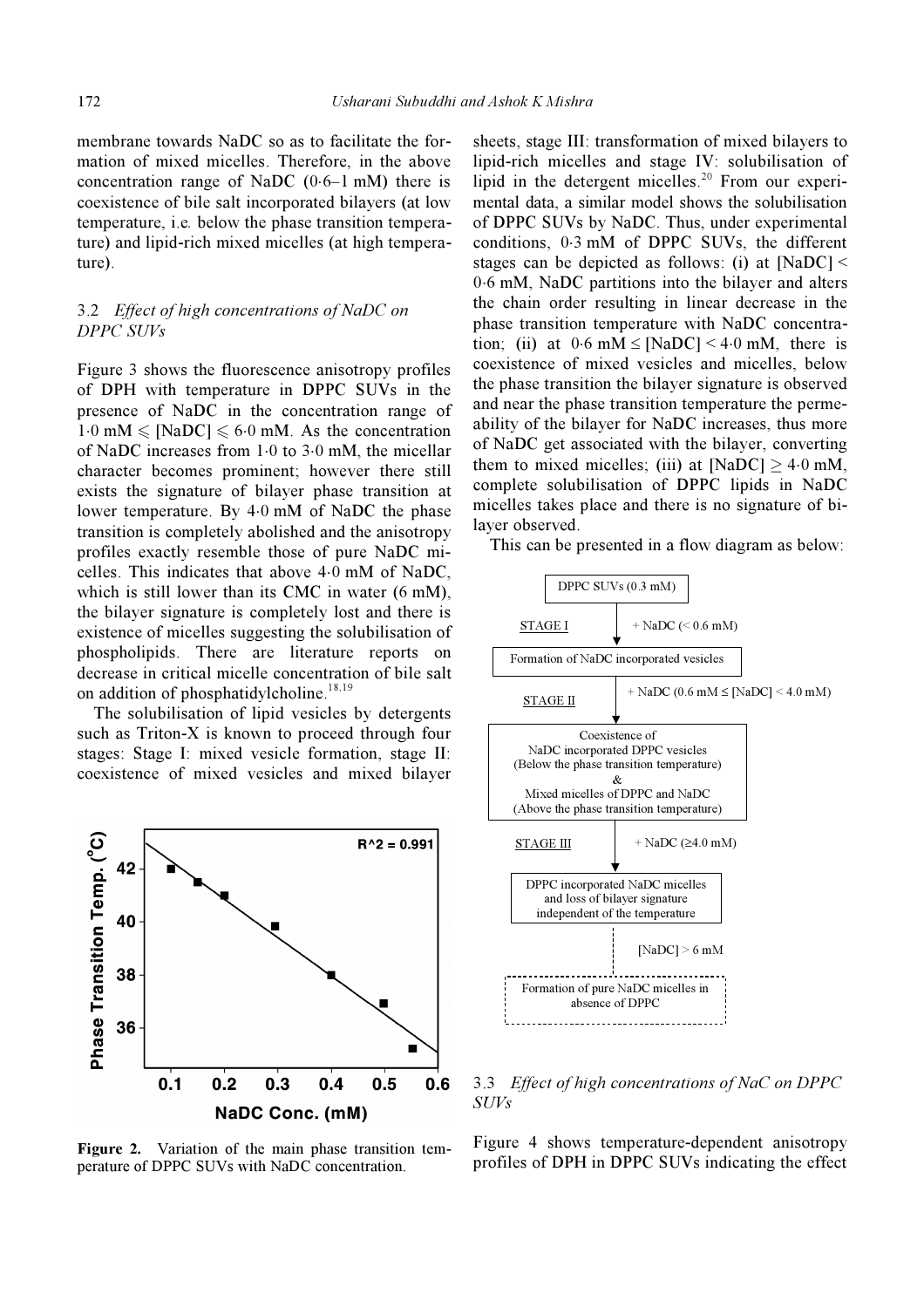membrane towards NaDC so as to facilitate the formation of mixed micelles. Therefore, in the above concentration range of NaDC (0⋅6–1 mM) there is coexistence of bile salt incorporated bilayers (at low temperature, i.e. below the phase transition temperature) and lipid-rich mixed micelles (at high temperature).

# 3.2 Effect of high concentrations of NaDC on DPPC SUVs

Figure 3 shows the fluorescence anisotropy profiles of DPH with temperature in DPPC SUVs in the presence of NaDC in the concentration range of  $1.0 \text{ mM} \leq \text{[NaDC]} \leq 6.0 \text{ mM}$ . As the concentration of NaDC increases from 1⋅0 to 3⋅0 mM, the micellar character becomes prominent; however there still exists the signature of bilayer phase transition at lower temperature. By 4⋅0 mM of NaDC the phase transition is completely abolished and the anisotropy profiles exactly resemble those of pure NaDC micelles. This indicates that above 4⋅0 mM of NaDC, which is still lower than its CMC in water (6 mM), the bilayer signature is completely lost and there is existence of micelles suggesting the solubilisation of phospholipids. There are literature reports on decrease in critical micelle concentration of bile salt on addition of phosphatidylcholine.<sup>18,19</sup>

 The solubilisation of lipid vesicles by detergents such as Triton-X is known to proceed through four stages: Stage I: mixed vesicle formation, stage II: coexistence of mixed vesicles and mixed bilayer



Figure 2. Variation of the main phase transition temperature of DPPC SUVs with NaDC concentration.

sheets, stage III: transformation of mixed bilayers to lipid-rich micelles and stage IV: solubilisation of lipid in the detergent micelles.<sup>20</sup> From our experimental data, a similar model shows the solubilisation of DPPC SUVs by NaDC. Thus, under experimental conditions, 0⋅3 mM of DPPC SUVs, the different stages can be depicted as follows: (i) at  $[NaDC]$  < 0⋅6 mM, NaDC partitions into the bilayer and alters the chain order resulting in linear decrease in the phase transition temperature with NaDC concentration; (ii) at  $0.6$  mM  $\leq$  [NaDC] < 4.0 mM, there is coexistence of mixed vesicles and micelles, below the phase transition the bilayer signature is observed and near the phase transition temperature the permeability of the bilayer for NaDC increases, thus more of NaDC get associated with the bilayer, converting them to mixed micelles; (iii) at  $[NaDC] \ge 4.0$  mM, complete solubilisation of DPPC lipids in NaDC micelles takes place and there is no signature of bilayer observed.

This can be presented in a flow diagram as below:



3.3 Effect of high concentrations of NaC on DPPC SUVs

Figure 4 shows temperature-dependent anisotropy profiles of DPH in DPPC SUVs indicating the effect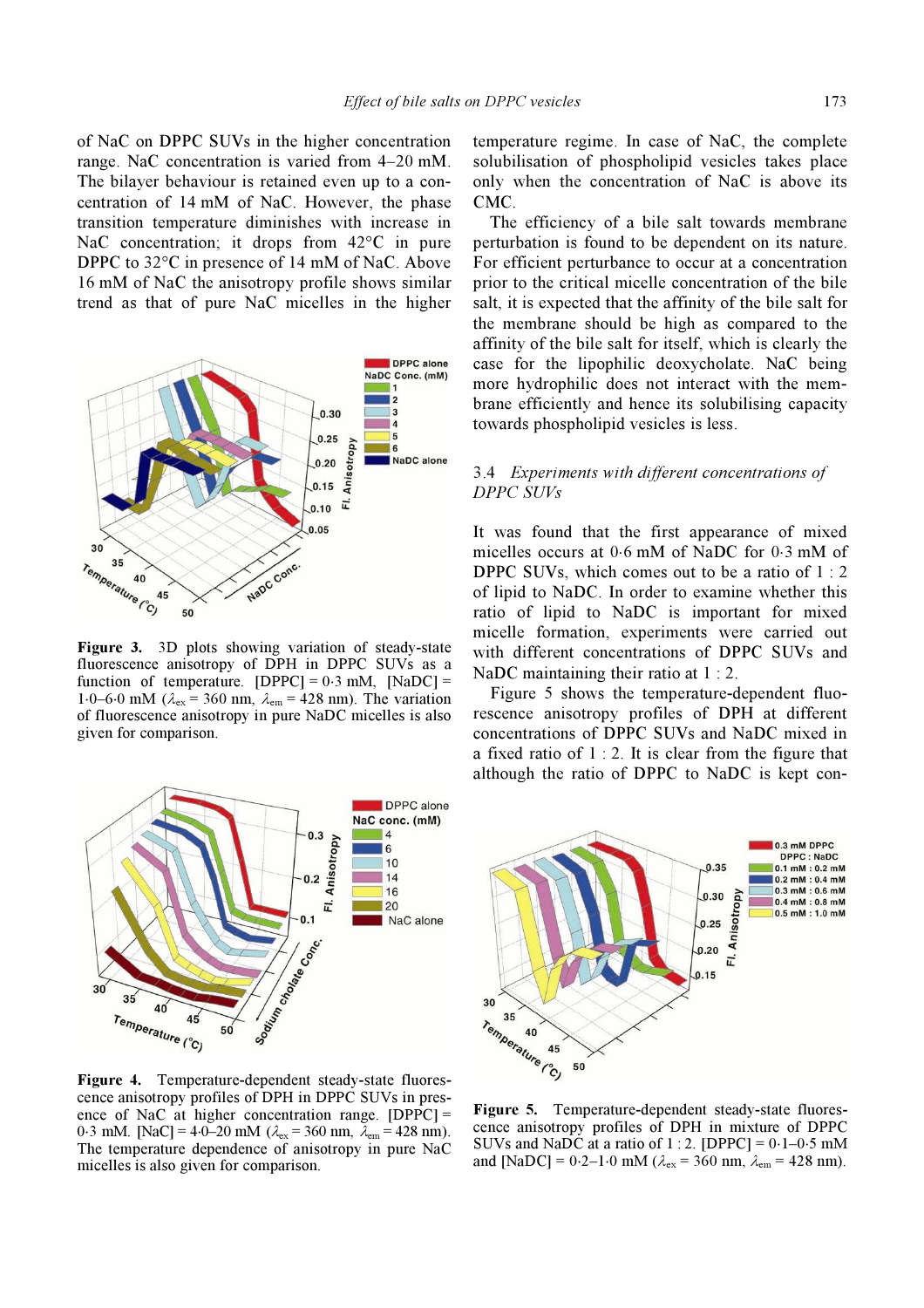of NaC on DPPC SUVs in the higher concentration range. NaC concentration is varied from 4–20 mM. The bilayer behaviour is retained even up to a concentration of 14 mM of NaC. However, the phase transition temperature diminishes with increase in NaC concentration; it drops from 42<sup>o</sup>C in pure DPPC to 32°C in presence of 14 mM of NaC. Above 16 mM of NaC the anisotropy profile shows similar trend as that of pure NaC micelles in the higher



Figure 3. 3D plots showing variation of steady-state fluorescence anisotropy of DPH in DPPC SUVs as a function of temperature.  $[DPPC] = 0.3$  mM,  $[NaDC] =$ 1⋅0–6⋅0 mM ( $\lambda_{\text{ex}}$  = 360 nm,  $\lambda_{\text{em}}$  = 428 nm). The variation of fluorescence anisotropy in pure NaDC micelles is also given for comparison.



Figure 4. Temperature-dependent steady-state fluorescence anisotropy profiles of DPH in DPPC SUVs in presence anisotropy profiles of DPH in DPPC SO vs in presence of NaC at higher concentration range. [DPPC] = 0⋅3 mM. [NaC] = 4⋅0–20 mM ( $\lambda_{ex}$  = 360 nm,  $\lambda_{em}$  = 428 nm). The temperature dependence of anisotropy in pure NaC micelles is also given for comparison.

temperature regime. In case of NaC, the complete solubilisation of phospholipid vesicles takes place only when the concentration of NaC is above its CMC.

 The efficiency of a bile salt towards membrane perturbation is found to be dependent on its nature. For efficient perturbance to occur at a concentration prior to the critical micelle concentration of the bile salt, it is expected that the affinity of the bile salt for the membrane should be high as compared to the affinity of the bile salt for itself, which is clearly the case for the lipophilic deoxycholate. NaC being more hydrophilic does not interact with the membrane efficiently and hence its solubilising capacity towards phospholipid vesicles is less.

# 3.4 Experiments with different concentrations of DPPC SUVs

It was found that the first appearance of mixed micelles occurs at 0⋅6 mM of NaDC for 0⋅3 mM of DPPC SUVs, which comes out to be a ratio of 1 : 2 of lipid to NaDC. In order to examine whether this ratio of lipid to NaDC is important for mixed micelle formation, experiments were carried out with different concentrations of DPPC SUVs and NaDC maintaining their ratio at 1 : 2.

 Figure 5 shows the temperature-dependent fluorescence anisotropy profiles of DPH at different concentrations of DPPC SUVs and NaDC mixed in a fixed ratio of  $1:2$ . It is clear from the figure that although the ratio of DPPC to NaDC is kept con-



Figure 5. Temperature-dependent steady-state fluorescence anisotropy profiles of DPH in mixture of DPPC SUVs and NaDC at a ratio of 1 : 2. [DPPC] = 0⋅1–0⋅5 mM SUVs and NaDC at a ratio of 1 : 2. [DPPC] =  $0.1-0.5$  mM<br>and [NaDC] =  $0.2-1.0$  mM ( $\lambda_{\text{ex}}$  = 360 nm,  $\lambda_{\text{em}}$  = 428 nm).